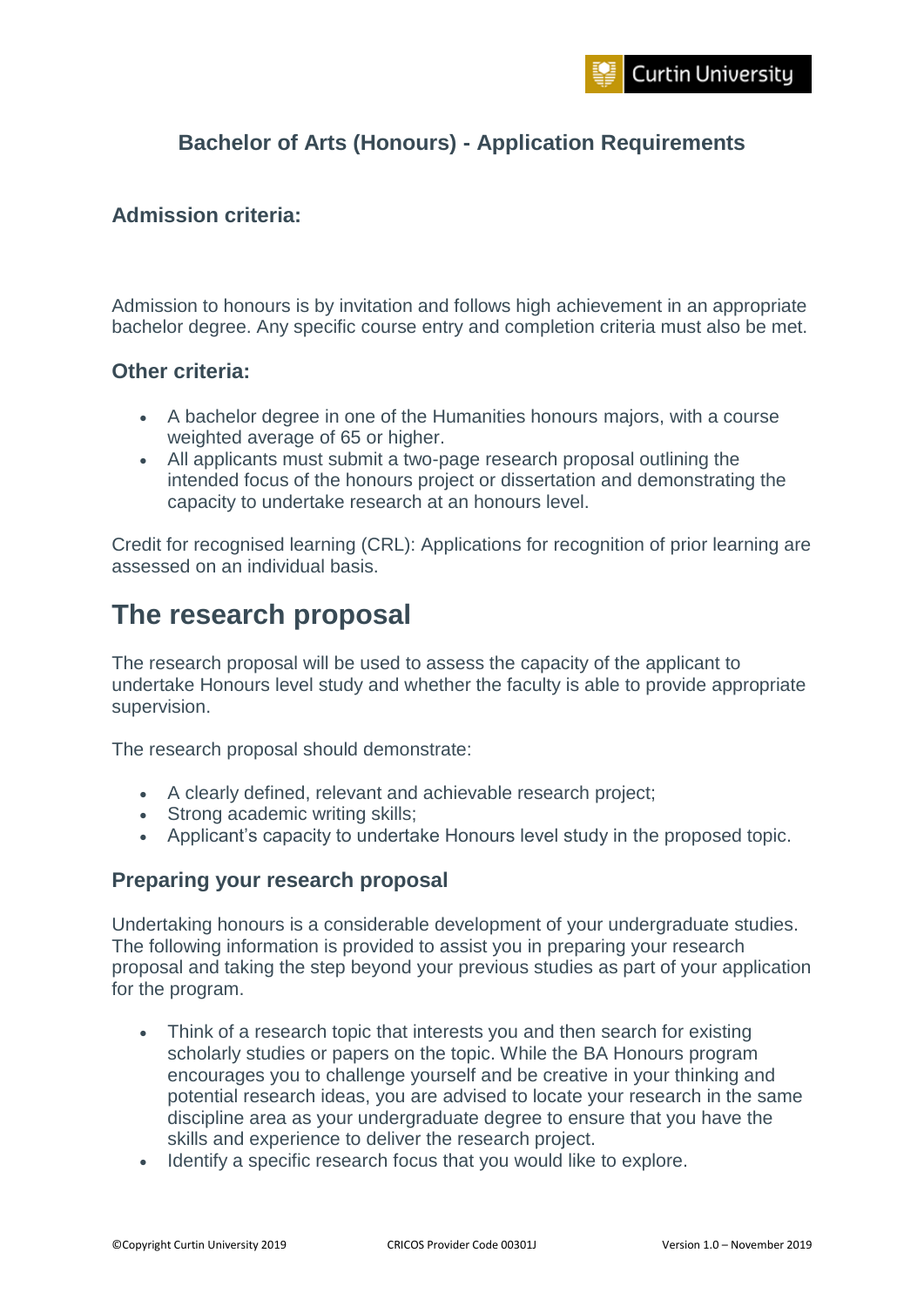## **Bachelor of Arts (Honours) - Application Requirements**

## **Admission criteria:**

Admission to honours is by invitation and follows high achievement in an appropriate bachelor degree. Any specific course entry and completion criteria must also be met.

## **Other criteria:**

- A bachelor degree in one of the Humanities honours majors, with a course weighted average of 65 or higher.
- All applicants must submit a two-page research proposal outlining the intended focus of the honours project or dissertation and demonstrating the capacity to undertake research at an honours level.

Credit for recognised learning (CRL): Applications for recognition of prior learning are assessed on an individual basis.

# **The research proposal**

The research proposal will be used to assess the capacity of the applicant to undertake Honours level study and whether the faculty is able to provide appropriate supervision.

The research proposal should demonstrate:

- A clearly defined, relevant and achievable research project;
- Strong academic writing skills;
- Applicant's capacity to undertake Honours level study in the proposed topic.

## **Preparing your research proposal**

Undertaking honours is a considerable development of your undergraduate studies. The following information is provided to assist you in preparing your research proposal and taking the step beyond your previous studies as part of your application for the program.

- Think of a research topic that interests you and then search for existing scholarly studies or papers on the topic. While the BA Honours program encourages you to challenge yourself and be creative in your thinking and potential research ideas, you are advised to locate your research in the same discipline area as your undergraduate degree to ensure that you have the skills and experience to deliver the research project.
- Identify a specific research focus that you would like to explore.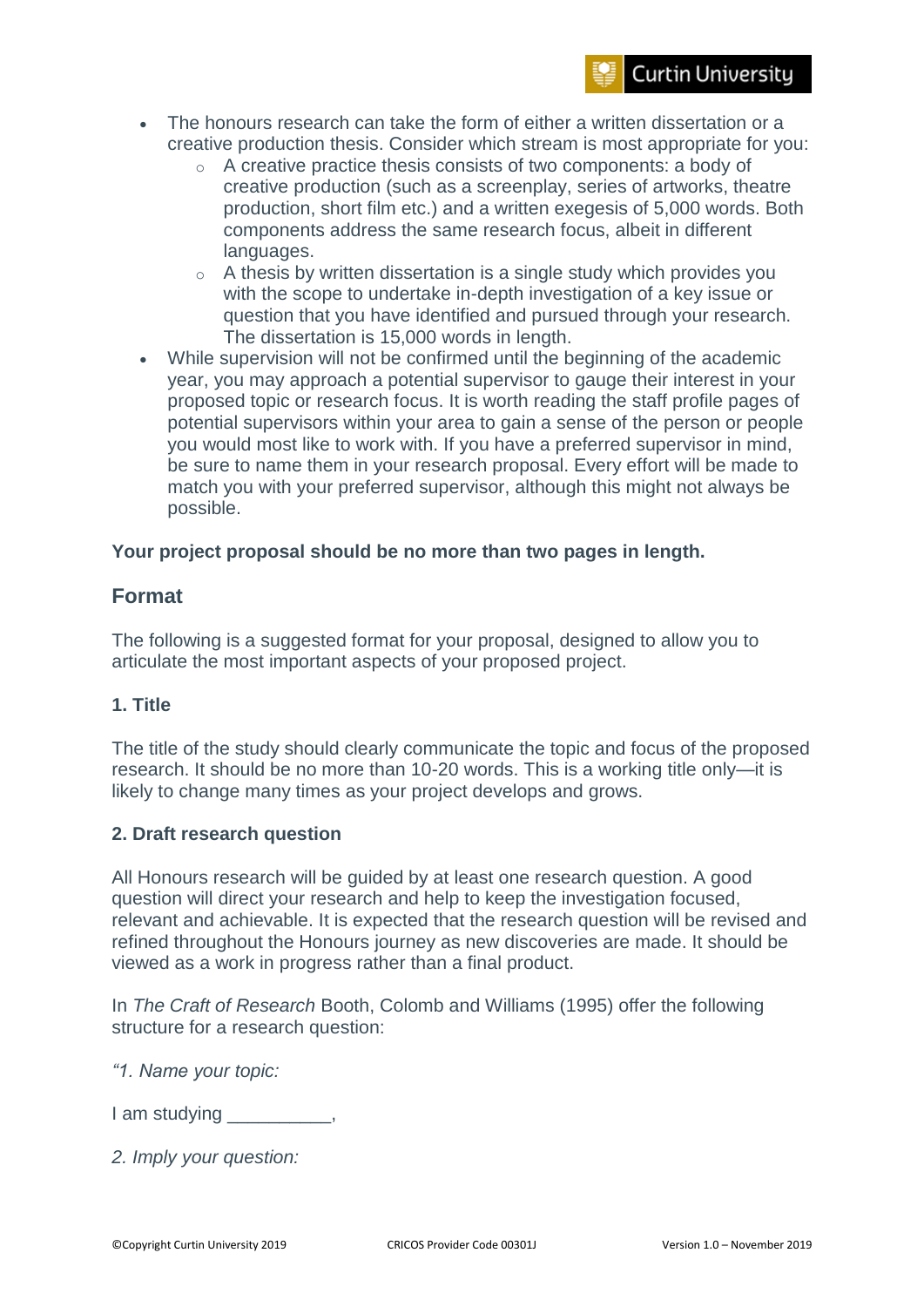- The honours research can take the form of either a written dissertation or a creative production thesis. Consider which stream is most appropriate for you:
	- o A creative practice thesis consists of two components: a body of creative production (such as a screenplay, series of artworks, theatre production, short film etc.) and a written exegesis of 5,000 words. Both components address the same research focus, albeit in different languages.
	- o A thesis by written dissertation is a single study which provides you with the scope to undertake in-depth investigation of a key issue or question that you have identified and pursued through your research. The dissertation is 15,000 words in length.
- While supervision will not be confirmed until the beginning of the academic year, you may approach a potential supervisor to gauge their interest in your proposed topic or research focus. It is worth reading the staff profile pages of potential supervisors within your area to gain a sense of the person or people you would most like to work with. If you have a preferred supervisor in mind, be sure to name them in your research proposal. Every effort will be made to match you with your preferred supervisor, although this might not always be possible.

#### **Your project proposal should be no more than two pages in length.**

## **Format**

The following is a suggested format for your proposal, designed to allow you to articulate the most important aspects of your proposed project.

## **1. Title**

The title of the study should clearly communicate the topic and focus of the proposed research. It should be no more than 10-20 words. This is a working title only—it is likely to change many times as your project develops and grows.

#### **2. Draft research question**

All Honours research will be guided by at least one research question. A good question will direct your research and help to keep the investigation focused, relevant and achievable. It is expected that the research question will be revised and refined throughout the Honours journey as new discoveries are made. It should be viewed as a work in progress rather than a final product.

In *The Craft of Research* Booth, Colomb and Williams (1995) offer the following structure for a research question:

*"1. Name your topic:*

I am studying the control of the control of the control of the control of the control of the control of the co

*2. Imply your question:*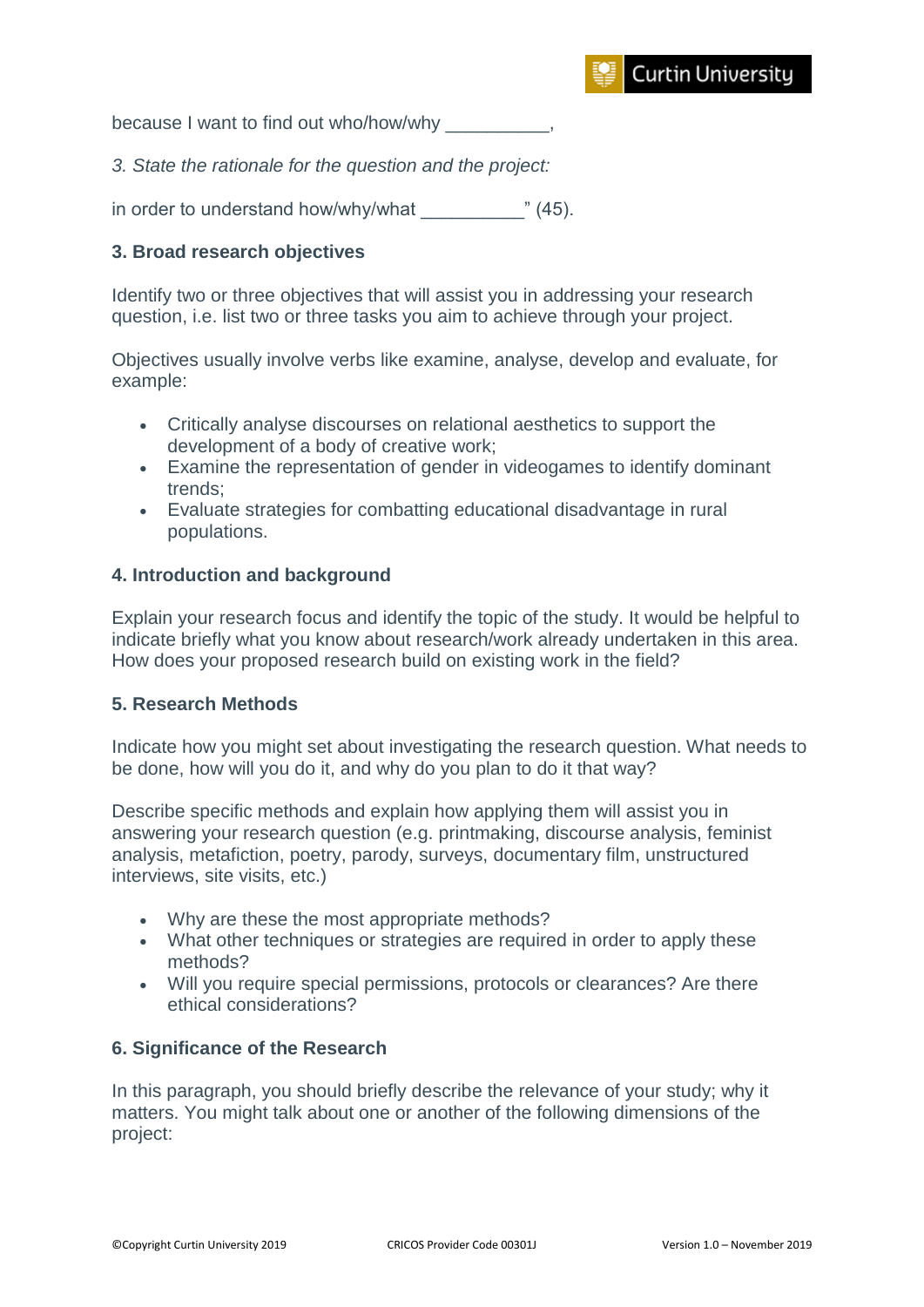because I want to find out who/how/why

*3. State the rationale for the question and the project:*

in order to understand how/why/what  $\hspace{1.5cm}$  " (45).

#### **3. Broad research objectives**

Identify two or three objectives that will assist you in addressing your research question, i.e. list two or three tasks you aim to achieve through your project.

Objectives usually involve verbs like examine, analyse, develop and evaluate, for example:

- Critically analyse discourses on relational aesthetics to support the development of a body of creative work;
- Examine the representation of gender in videogames to identify dominant trends;
- Evaluate strategies for combatting educational disadvantage in rural populations.

#### **4. Introduction and background**

Explain your research focus and identify the topic of the study. It would be helpful to indicate briefly what you know about research/work already undertaken in this area. How does your proposed research build on existing work in the field?

#### **5. Research Methods**

Indicate how you might set about investigating the research question. What needs to be done, how will you do it, and why do you plan to do it that way?

Describe specific methods and explain how applying them will assist you in answering your research question (e.g. printmaking, discourse analysis, feminist analysis, metafiction, poetry, parody, surveys, documentary film, unstructured interviews, site visits, etc.)

- Why are these the most appropriate methods?
- What other techniques or strategies are required in order to apply these methods?
- Will you require special permissions, protocols or clearances? Are there ethical considerations?

#### **6. Significance of the Research**

In this paragraph, you should briefly describe the relevance of your study; why it matters. You might talk about one or another of the following dimensions of the project: